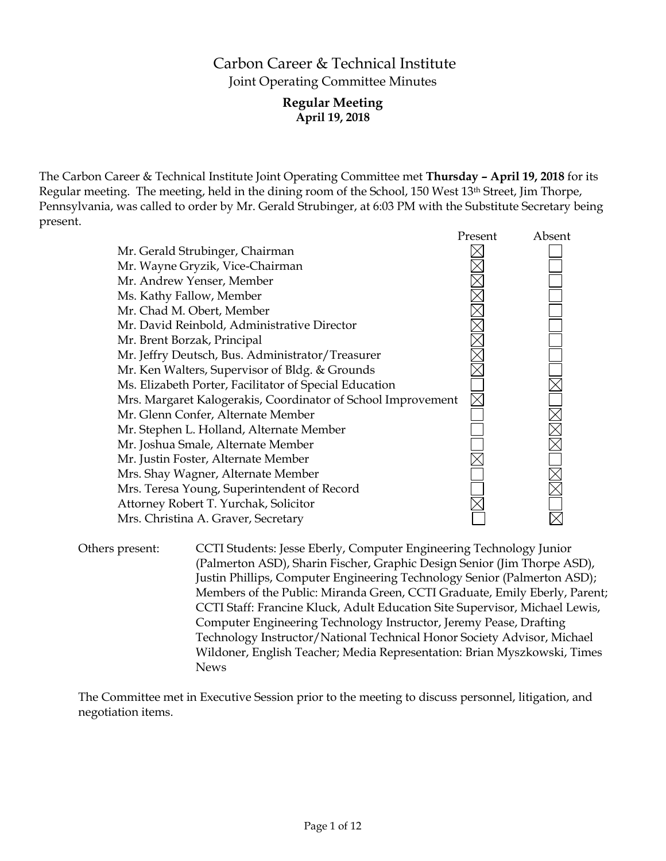# Carbon Career & Technical Institute Joint Operating Committee Minutes

## **Regular Meeting April 19, 2018**

The Carbon Career & Technical Institute Joint Operating Committee met **Thursday – April 19, 2018** for its Regular meeting. The meeting, held in the dining room of the School, 150 West 13<sup>th</sup> Street, Jim Thorpe, Pennsylvania, was called to order by Mr. Gerald Strubinger, at 6:03 PM with the Substitute Secretary being present.

|                                                              | Present | Absent |
|--------------------------------------------------------------|---------|--------|
| Mr. Gerald Strubinger, Chairman                              |         |        |
| Mr. Wayne Gryzik, Vice-Chairman                              |         |        |
| Mr. Andrew Yenser, Member                                    |         |        |
| Ms. Kathy Fallow, Member                                     |         |        |
| Mr. Chad M. Obert, Member                                    |         |        |
| Mr. David Reinbold, Administrative Director                  |         |        |
| Mr. Brent Borzak, Principal                                  |         |        |
| Mr. Jeffry Deutsch, Bus. Administrator/Treasurer             |         |        |
| Mr. Ken Walters, Supervisor of Bldg. & Grounds               |         |        |
| Ms. Elizabeth Porter, Facilitator of Special Education       |         |        |
| Mrs. Margaret Kalogerakis, Coordinator of School Improvement |         |        |
| Mr. Glenn Confer, Alternate Member                           |         |        |
| Mr. Stephen L. Holland, Alternate Member                     |         |        |
| Mr. Joshua Smale, Alternate Member                           |         |        |
| Mr. Justin Foster, Alternate Member                          |         |        |
| Mrs. Shay Wagner, Alternate Member                           |         |        |
| Mrs. Teresa Young, Superintendent of Record                  |         |        |
| Attorney Robert T. Yurchak, Solicitor                        |         |        |
| Mrs. Christina A. Graver, Secretary                          |         |        |

Others present: CCTI Students: Jesse Eberly, Computer Engineering Technology Junior (Palmerton ASD), Sharin Fischer, Graphic Design Senior (Jim Thorpe ASD), Justin Phillips, Computer Engineering Technology Senior (Palmerton ASD); Members of the Public: Miranda Green, CCTI Graduate, Emily Eberly, Parent; CCTI Staff: Francine Kluck, Adult Education Site Supervisor, Michael Lewis, Computer Engineering Technology Instructor, Jeremy Pease, Drafting Technology Instructor/National Technical Honor Society Advisor, Michael Wildoner, English Teacher; Media Representation: Brian Myszkowski, Times News

The Committee met in Executive Session prior to the meeting to discuss personnel, litigation, and negotiation items.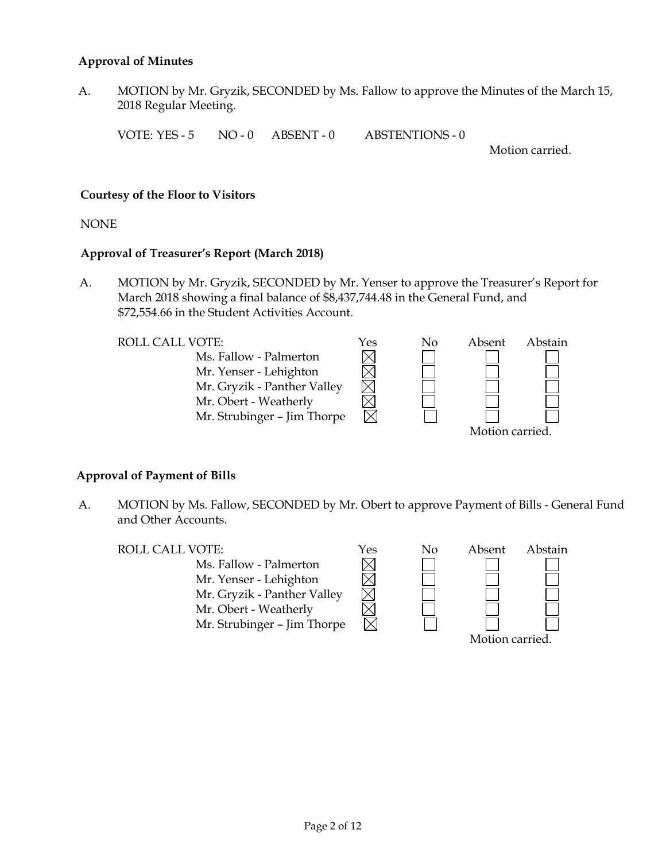## **Approval of Minutes**

A. MOTION by Mr. Gryzik, SECONDED by Ms. Fallow to approve the Minutes of the March 15, 2018 Regular Meeting.

VOTE: YES - 5 NO - 0 ABSENT - 0 ABSTENTIONS - 0

Motion carried.

## **Courtesy of the Floor to Visitors**

NONE

## **Approval of Treasurer's Report (March 2018)**

A. MOTION by Mr. Gryzik, SECONDED by Mr. Yenser to approve the Treasurer's Report for March 2018 showing a final balance of \$8,437,744.48 in the General Fund, and \$72,554.66 in the Student Activities Account.



## **Approval of Payment of Bills**

A. MOTION by Ms. Fallow, SECONDED by Mr. Obert to approve Payment of Bills - General Fund and Other Accounts.

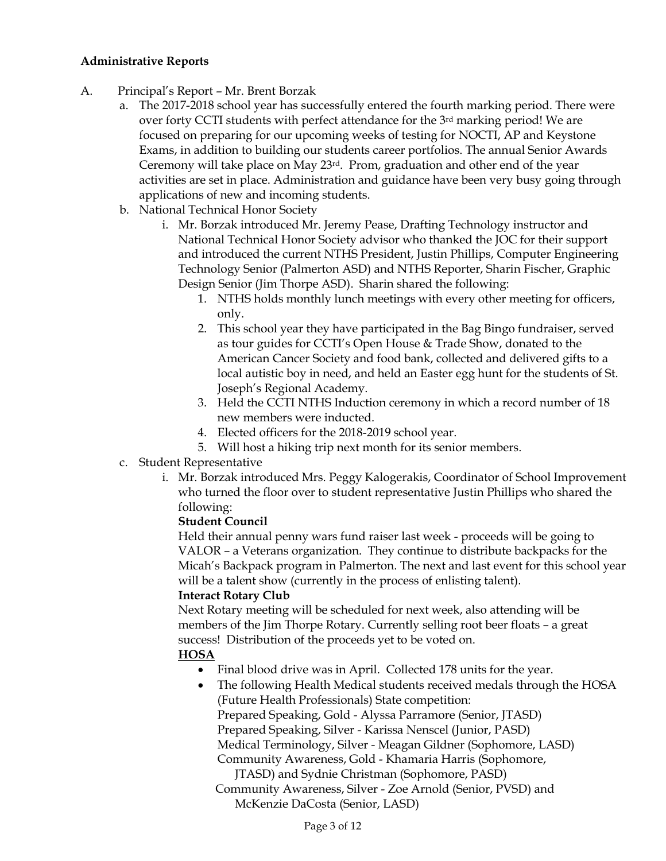## **Administrative Reports**

- A. Principal's Report Mr. Brent Borzak
	- a. The 2017-2018 school year has successfully entered the fourth marking period. There were over forty CCTI students with perfect attendance for the  $3<sup>rd</sup>$  marking period! We are focused on preparing for our upcoming weeks of testing for NOCTI, AP and Keystone Exams, in addition to building our students career portfolios. The annual Senior Awards Ceremony will take place on May 23rd. Prom, graduation and other end of the year activities are set in place. Administration and guidance have been very busy going through applications of new and incoming students.
	- b. National Technical Honor Society
		- i. Mr. Borzak introduced Mr. Jeremy Pease, Drafting Technology instructor and National Technical Honor Society advisor who thanked the JOC for their support and introduced the current NTHS President, Justin Phillips, Computer Engineering Technology Senior (Palmerton ASD) and NTHS Reporter, Sharin Fischer, Graphic Design Senior (Jim Thorpe ASD). Sharin shared the following:
			- 1. NTHS holds monthly lunch meetings with every other meeting for officers, only.
			- 2. This school year they have participated in the Bag Bingo fundraiser, served as tour guides for CCTI's Open House & Trade Show, donated to the American Cancer Society and food bank, collected and delivered gifts to a local autistic boy in need, and held an Easter egg hunt for the students of St. Joseph's Regional Academy.
			- 3. Held the CCTI NTHS Induction ceremony in which a record number of 18 new members were inducted.
			- 4. Elected officers for the 2018-2019 school year.
			- 5. Will host a hiking trip next month for its senior members.
	- c. Student Representative
		- i. Mr. Borzak introduced Mrs. Peggy Kalogerakis, Coordinator of School Improvement who turned the floor over to student representative Justin Phillips who shared the following:

## **Student Council**

Held their annual penny wars fund raiser last week - proceeds will be going to VALOR – a Veterans organization. They continue to distribute backpacks for the Micah's Backpack program in Palmerton. The next and last event for this school year will be a talent show (currently in the process of enlisting talent).

## **Interact Rotary Club**

Next Rotary meeting will be scheduled for next week, also attending will be members of the Jim Thorpe Rotary. Currently selling root beer floats – a great success! Distribution of the proceeds yet to be voted on.

## **HOSA**

- Final blood drive was in April. Collected 178 units for the year.
- The following Health Medical students received medals through the HOSA (Future Health Professionals) State competition: Prepared Speaking, Gold - Alyssa Parramore (Senior, JTASD) Prepared Speaking, Silver - Karissa Nenscel (Junior, PASD) Medical Terminology, Silver - Meagan Gildner (Sophomore, LASD) Community Awareness, Gold - Khamaria Harris (Sophomore, JTASD) and Sydnie Christman (Sophomore, PASD)

Community Awareness, Silver - Zoe Arnold (Senior, PVSD) and McKenzie DaCosta (Senior, LASD)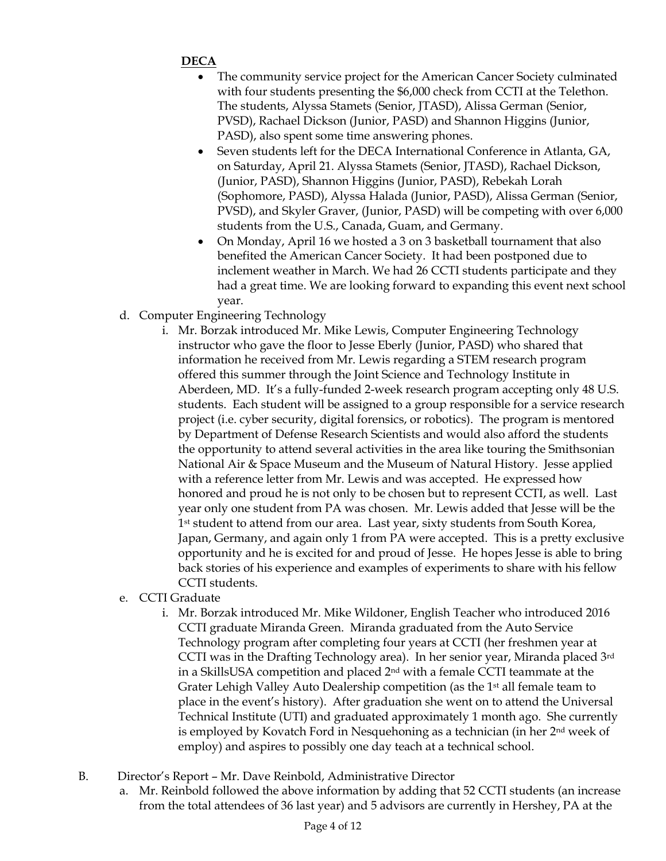## **DECA**

- The community service project for the American Cancer Society culminated with four students presenting the \$6,000 check from CCTI at the Telethon. The students, Alyssa Stamets (Senior, JTASD), Alissa German (Senior, PVSD), Rachael Dickson (Junior, PASD) and Shannon Higgins (Junior, PASD), also spent some time answering phones.
- Seven students left for the DECA International Conference in Atlanta, GA, on Saturday, April 21. Alyssa Stamets (Senior, JTASD), Rachael Dickson, (Junior, PASD), Shannon Higgins (Junior, PASD), Rebekah Lorah (Sophomore, PASD), Alyssa Halada (Junior, PASD), Alissa German (Senior, PVSD), and Skyler Graver, (Junior, PASD) will be competing with over 6,000 students from the U.S., Canada, Guam, and Germany.
- On Monday, April 16 we hosted a 3 on 3 basketball tournament that also benefited the American Cancer Society. It had been postponed due to inclement weather in March. We had 26 CCTI students participate and they had a great time. We are looking forward to expanding this event next school year.
- d. Computer Engineering Technology
	- i. Mr. Borzak introduced Mr. Mike Lewis, Computer Engineering Technology instructor who gave the floor to Jesse Eberly (Junior, PASD) who shared that information he received from Mr. Lewis regarding a STEM research program offered this summer through the Joint Science and Technology Institute in Aberdeen, MD. It's a fully-funded 2-week research program accepting only 48 U.S. students. Each student will be assigned to a group responsible for a service research project (i.e. cyber security, digital forensics, or robotics). The program is mentored by Department of Defense Research Scientists and would also afford the students the opportunity to attend several activities in the area like touring the Smithsonian National Air & Space Museum and the Museum of Natural History. Jesse applied with a reference letter from Mr. Lewis and was accepted. He expressed how honored and proud he is not only to be chosen but to represent CCTI, as well. Last year only one student from PA was chosen. Mr. Lewis added that Jesse will be the 1st student to attend from our area. Last year, sixty students from South Korea, Japan, Germany, and again only 1 from PA were accepted. This is a pretty exclusive opportunity and he is excited for and proud of Jesse. He hopes Jesse is able to bring back stories of his experience and examples of experiments to share with his fellow CCTI students.
- e. CCTI Graduate
	- i. Mr. Borzak introduced Mr. Mike Wildoner, English Teacher who introduced 2016 CCTI graduate Miranda Green. Miranda graduated from the Auto Service Technology program after completing four years at CCTI (her freshmen year at CCTI was in the Drafting Technology area). In her senior year, Miranda placed 3rd in a SkillsUSA competition and placed 2nd with a female CCTI teammate at the Grater Lehigh Valley Auto Dealership competition (as the 1<sup>st</sup> all female team to place in the event's history). After graduation she went on to attend the Universal Technical Institute (UTI) and graduated approximately 1 month ago. She currently is employed by Kovatch Ford in Nesquehoning as a technician (in her 2nd week of employ) and aspires to possibly one day teach at a technical school.
- B. Director's Report Mr. Dave Reinbold, Administrative Director
	- a. Mr. Reinbold followed the above information by adding that 52 CCTI students (an increase from the total attendees of 36 last year) and 5 advisors are currently in Hershey, PA at the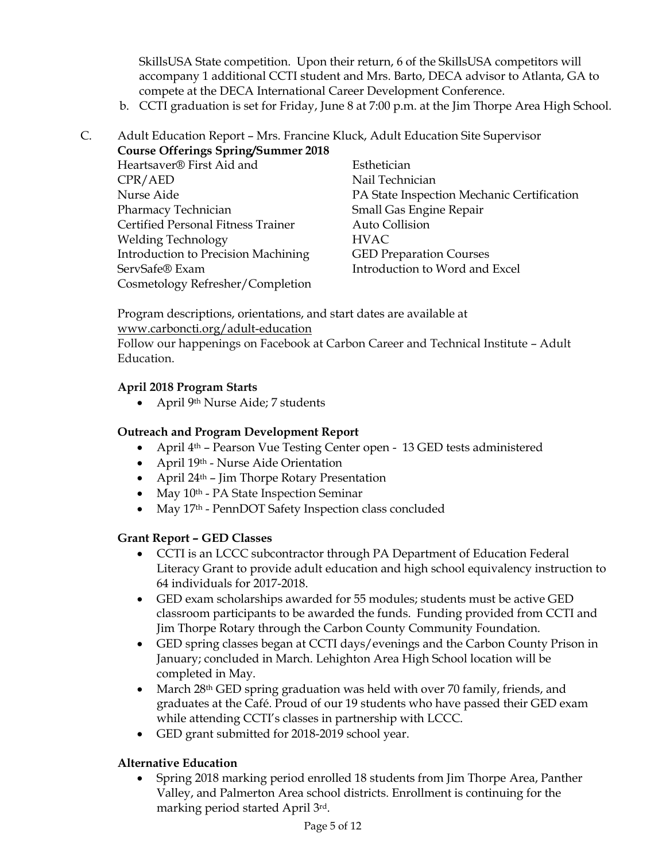SkillsUSA State competition. Upon their return, 6 of the SkillsUSA competitors will accompany 1 additional CCTI student and Mrs. Barto, DECA advisor to Atlanta, GA to compete at the DECA International Career Development Conference.

b. CCTI graduation is set for Friday, June 8 at 7:00 p.m. at the Jim Thorpe Area High School.

## C. Adult Education Report – Mrs. Francine Kluck, Adult Education Site Supervisor **Course Offerings Spring/Summer 2018**

| Heartsaver® First Aid and                 | Esthetician                                |
|-------------------------------------------|--------------------------------------------|
| CPR/AED                                   | Nail Technician                            |
| Nurse Aide                                | PA State Inspection Mechanic Certification |
| Pharmacy Technician                       | Small Gas Engine Repair                    |
| <b>Certified Personal Fitness Trainer</b> | Auto Collision                             |
| <b>Welding Technology</b>                 | <b>HVAC</b>                                |
| Introduction to Precision Machining       | <b>GED Preparation Courses</b>             |
| ServSafe® Exam                            | Introduction to Word and Excel             |
| Cosmetology Refresher/Completion          |                                            |
|                                           |                                            |

Program descriptions, orientations, and start dates are available at [www.carboncti.org/adult-education](http://www.carboncti.org/adult-education)

Follow our happenings on Facebook at Carbon Career and Technical Institute – Adult Education.

## **April 2018 Program Starts**

April 9th Nurse Aide; 7 students

## **Outreach and Program Development Report**

- April 4<sup>th</sup> Pearson Vue Testing Center open 13 GED tests administered
- April 19th Nurse Aide Orientation
- April  $24<sup>th</sup>$  Jim Thorpe Rotary Presentation
- May 10<sup>th</sup> PA State Inspection Seminar
- May 17th PennDOT Safety Inspection class concluded

## **Grant Report – GED Classes**

- CCTI is an LCCC subcontractor through PA Department of Education Federal Literacy Grant to provide adult education and high school equivalency instruction to 64 individuals for 2017-2018.
- GED exam scholarships awarded for 55 modules; students must be active GED classroom participants to be awarded the funds. Funding provided from CCTI and Jim Thorpe Rotary through the Carbon County Community Foundation.
- GED spring classes began at CCTI days/evenings and the Carbon County Prison in January; concluded in March. Lehighton Area High School location will be completed in May.
- March 28<sup>th</sup> GED spring graduation was held with over 70 family, friends, and graduates at the Café. Proud of our 19 students who have passed their GED exam while attending CCTI's classes in partnership with LCCC.
- GED grant submitted for 2018-2019 school year.

## **Alternative Education**

 Spring 2018 marking period enrolled 18 students from Jim Thorpe Area, Panther Valley, and Palmerton Area school districts. Enrollment is continuing for the marking period started April 3rd.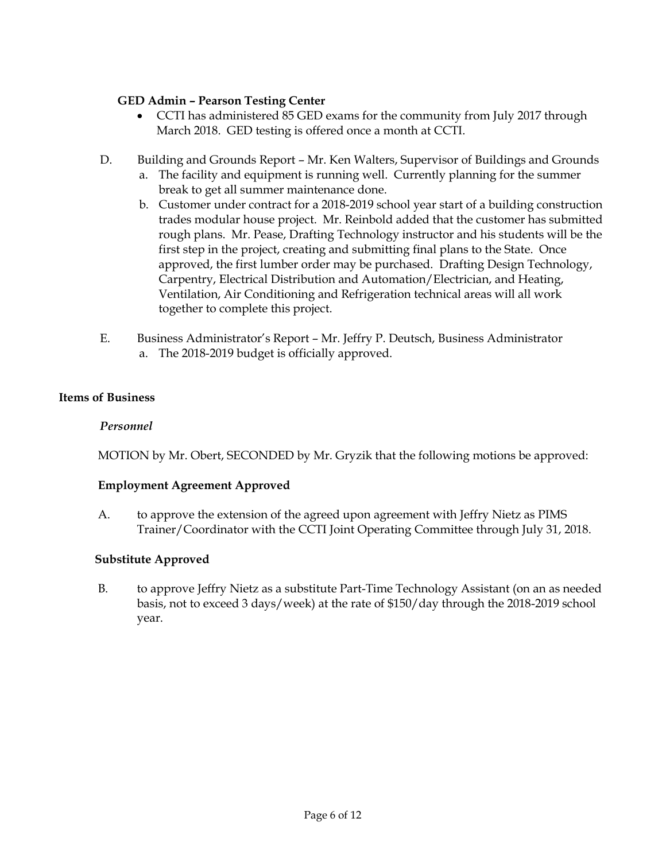## **GED Admin – Pearson Testing Center**

- CCTI has administered 85 GED exams for the community from July 2017 through March 2018. GED testing is offered once a month at CCTI.
- D. Building and Grounds Report Mr. Ken Walters, Supervisor of Buildings and Grounds
	- a. The facility and equipment is running well. Currently planning for the summer break to get all summer maintenance done.
	- b. Customer under contract for a 2018-2019 school year start of a building construction trades modular house project. Mr. Reinbold added that the customer has submitted rough plans. Mr. Pease, Drafting Technology instructor and his students will be the first step in the project, creating and submitting final plans to the State. Once approved, the first lumber order may be purchased. Drafting Design Technology, Carpentry, Electrical Distribution and Automation/Electrician, and Heating, Ventilation, Air Conditioning and Refrigeration technical areas will all work together to complete this project.
- E. Business Administrator's Report Mr. Jeffry P. Deutsch, Business Administrator a. The 2018-2019 budget is officially approved.

## **Items of Business**

## *Personnel*

MOTION by Mr. Obert, SECONDED by Mr. Gryzik that the following motions be approved:

## **Employment Agreement Approved**

A. to approve the extension of the agreed upon agreement with Jeffry Nietz as PIMS Trainer/Coordinator with the CCTI Joint Operating Committee through July 31, 2018.

## **Substitute Approved**

B. to approve Jeffry Nietz as a substitute Part-Time Technology Assistant (on an as needed basis, not to exceed 3 days/week) at the rate of \$150/day through the 2018-2019 school year.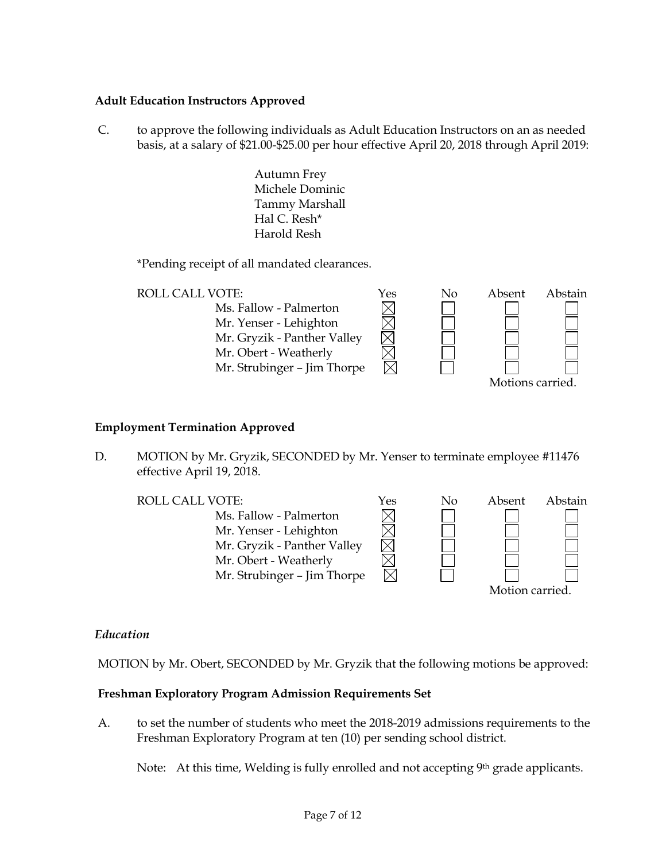## **Adult Education Instructors Approved**

C. to approve the following individuals as Adult Education Instructors on an as needed basis, at a salary of \$21.00-\$25.00 per hour effective April 20, 2018 through April 2019:

> Autumn Frey Michele Dominic Tammy Marshall Hal C. Resh\* Harold Resh

\*Pending receipt of all mandated clearances.

| <b>ROLL CALL VOTE:</b>      | Yes | Nο | Absent           | Abstain |
|-----------------------------|-----|----|------------------|---------|
| Ms. Fallow - Palmerton      |     |    |                  |         |
| Mr. Yenser - Lehighton      |     |    |                  |         |
| Mr. Gryzik - Panther Valley |     |    |                  |         |
| Mr. Obert - Weatherly       |     |    |                  |         |
| Mr. Strubinger - Jim Thorpe |     |    |                  |         |
|                             |     |    | Motions carried. |         |

## **Employment Termination Approved**

D. MOTION by Mr. Gryzik, SECONDED by Mr. Yenser to terminate employee #11476 effective April 19, 2018.

Ms. Fallow - Palmerton Mr. Yenser - Lehighton Mr. Gryzik - Panther Valley Mr. Obert - Weatherly Mr. Strubinger – Jim Thorpe



## *Education*

MOTION by Mr. Obert, SECONDED by Mr. Gryzik that the following motions be approved:

#### **Freshman Exploratory Program Admission Requirements Set**

A. to set the number of students who meet the 2018-2019 admissions requirements to the Freshman Exploratory Program at ten (10) per sending school district.

Note: At this time, Welding is fully enrolled and not accepting 9<sup>th</sup> grade applicants.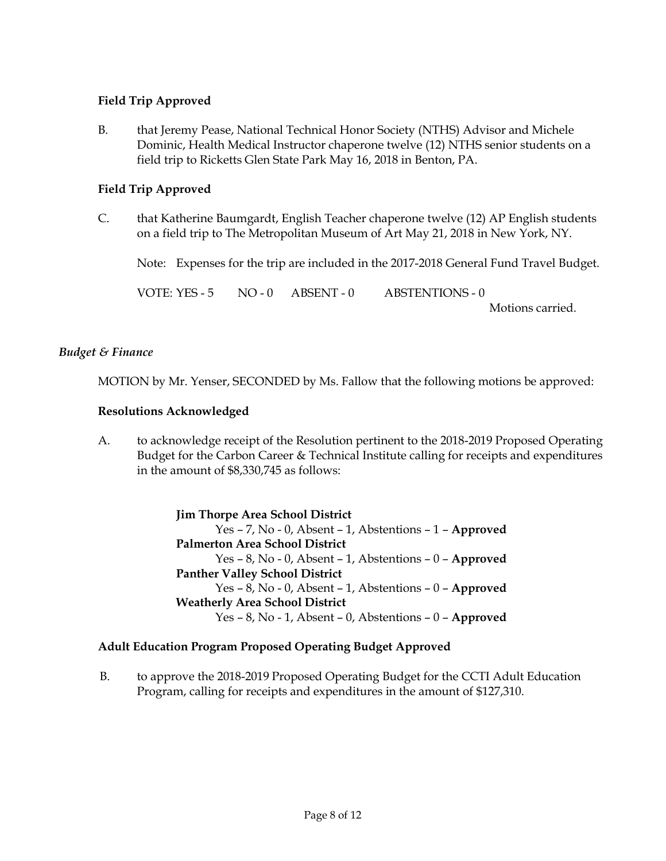## **Field Trip Approved**

B. that Jeremy Pease, National Technical Honor Society (NTHS) Advisor and Michele Dominic, Health Medical Instructor chaperone twelve (12) NTHS senior students on a field trip to Ricketts Glen State Park May 16, 2018 in Benton, PA.

## **Field Trip Approved**

C. that Katherine Baumgardt, English Teacher chaperone twelve (12) AP English students on a field trip to The Metropolitan Museum of Art May 21, 2018 in New York, NY.

Note: Expenses for the trip are included in the 2017-2018 General Fund Travel Budget.

VOTE: YES - 5 NO - 0 ABSENT - 0 ABSTENTIONS - 0

Motions carried.

## *Budget & Finance*

MOTION by Mr. Yenser, SECONDED by Ms. Fallow that the following motions be approved:

## **Resolutions Acknowledged**

A. to acknowledge receipt of the Resolution pertinent to the 2018-2019 Proposed Operating Budget for the Carbon Career & Technical Institute calling for receipts and expenditures in the amount of \$8,330,745 as follows:

> **Jim Thorpe Area School District** Yes – 7, No - 0, Absent – 1, Abstentions – 1 – **Approved Palmerton Area School District** Yes – 8, No - 0, Absent – 1, Abstentions – 0 – **Approved Panther Valley School District** Yes – 8, No - 0, Absent – 1, Abstentions – 0 – **Approved Weatherly Area School District** Yes – 8, No - 1, Absent – 0, Abstentions – 0 – **Approved**

## **Adult Education Program Proposed Operating Budget Approved**

B. to approve the 2018-2019 Proposed Operating Budget for the CCTI Adult Education Program, calling for receipts and expenditures in the amount of \$127,310.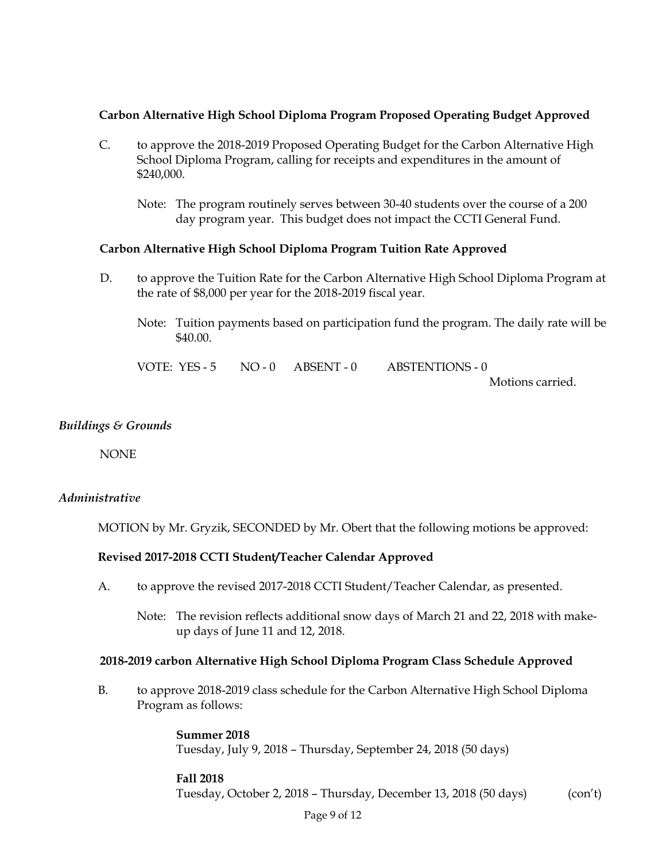## **Carbon Alternative High School Diploma Program Proposed Operating Budget Approved**

- C. to approve the 2018-2019 Proposed Operating Budget for the Carbon Alternative High School Diploma Program, calling for receipts and expenditures in the amount of \$240,000.
	- Note: The program routinely serves between 30-40 students over the course of a 200 day program year. This budget does not impact the CCTI General Fund.

## **Carbon Alternative High School Diploma Program Tuition Rate Approved**

- D. to approve the Tuition Rate for the Carbon Alternative High School Diploma Program at the rate of \$8,000 per year for the 2018-2019 fiscal year.
	- Note: Tuition payments based on participation fund the program. The daily rate will be \$40.00.

| VOTE: YES-5 NO-0 ABSENT-0 |  | ABSTENTIONS - 0  |
|---------------------------|--|------------------|
|                           |  | Motions carried. |

#### *Buildings & Grounds*

NONE

## *Administrative*

MOTION by Mr. Gryzik, SECONDED by Mr. Obert that the following motions be approved:

#### **Revised 2017-2018 CCTI Student/Teacher Calendar Approved**

- A. to approve the revised 2017-2018 CCTI Student/Teacher Calendar, as presented.
	- Note: The revision reflects additional snow days of March 21 and 22, 2018 with makeup days of June 11 and 12, 2018.

#### **2018-2019 carbon Alternative High School Diploma Program Class Schedule Approved**

B. to approve 2018-2019 class schedule for the Carbon Alternative High School Diploma Program as follows:

> **Summer 2018** Tuesday, July 9, 2018 – Thursday, September 24, 2018 (50 days)

#### **Fall 2018**

Tuesday, October 2, 2018 – Thursday, December 13, 2018 (50 days) (con't)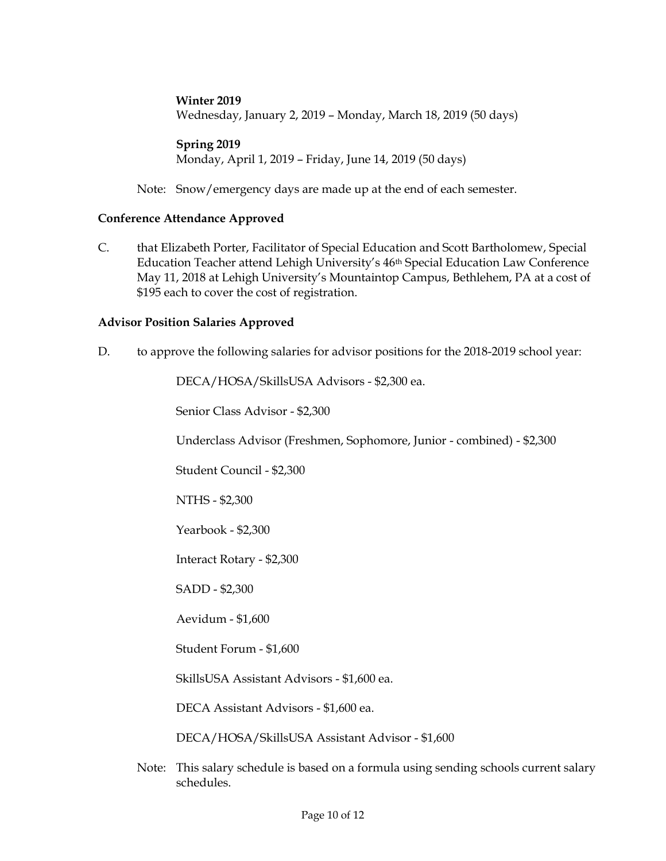## **Winter 2019**

Wednesday, January 2, 2019 – Monday, March 18, 2019 (50 days)

#### **Spring 2019**

Monday, April 1, 2019 – Friday, June 14, 2019 (50 days)

Note: Snow/emergency days are made up at the end of each semester.

#### **Conference Attendance Approved**

C. that Elizabeth Porter, Facilitator of Special Education and Scott Bartholomew, Special Education Teacher attend Lehigh University's 46<sup>th</sup> Special Education Law Conference May 11, 2018 at Lehigh University's Mountaintop Campus, Bethlehem, PA at a cost of \$195 each to cover the cost of registration.

## **Advisor Position Salaries Approved**

D. to approve the following salaries for advisor positions for the 2018-2019 school year:

DECA/HOSA/SkillsUSA Advisors - \$2,300 ea.

Senior Class Advisor - \$2,300

Underclass Advisor (Freshmen, Sophomore, Junior - combined) - \$2,300

Student Council - \$2,300

NTHS - \$2,300

Yearbook - \$2,300

Interact Rotary - \$2,300

SADD - \$2,300

Aevidum - \$1,600

Student Forum - \$1,600

SkillsUSA Assistant Advisors - \$1,600 ea.

DECA Assistant Advisors - \$1,600 ea.

DECA/HOSA/SkillsUSA Assistant Advisor - \$1,600

Note: This salary schedule is based on a formula using sending schools current salary schedules.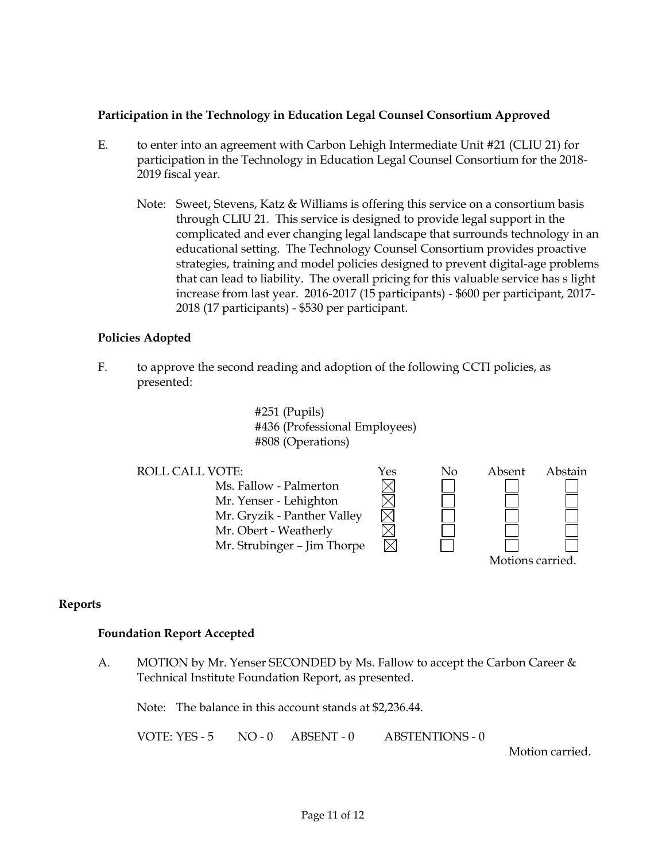## **Participation in the Technology in Education Legal Counsel Consortium Approved**

- E. to enter into an agreement with Carbon Lehigh Intermediate Unit #21 (CLIU 21) for participation in the Technology in Education Legal Counsel Consortium for the 2018- 2019 fiscal year.
	- Note: Sweet, Stevens, Katz & Williams is offering this service on a consortium basis through CLIU 21. This service is designed to provide legal support in the complicated and ever changing legal landscape that surrounds technology in an educational setting. The Technology Counsel Consortium provides proactive strategies, training and model policies designed to prevent digital-age problems that can lead to liability. The overall pricing for this valuable service has s light increase from last year. 2016-2017 (15 participants) - \$600 per participant, 2017- 2018 (17 participants) - \$530 per participant.

## **Policies Adopted**

F. to approve the second reading and adoption of the following CCTI policies, as presented:

> #251 (Pupils) #436 (Professional Employees) #808 (Operations)



## **Reports**

#### **Foundation Report Accepted**

A. MOTION by Mr. Yenser SECONDED by Ms. Fallow to accept the Carbon Career & Technical Institute Foundation Report, as presented.

Note: The balance in this account stands at \$2,236.44.

VOTE: YES - 5 NO - 0 ABSENT - 0 ABSTENTIONS - 0

Motion carried.